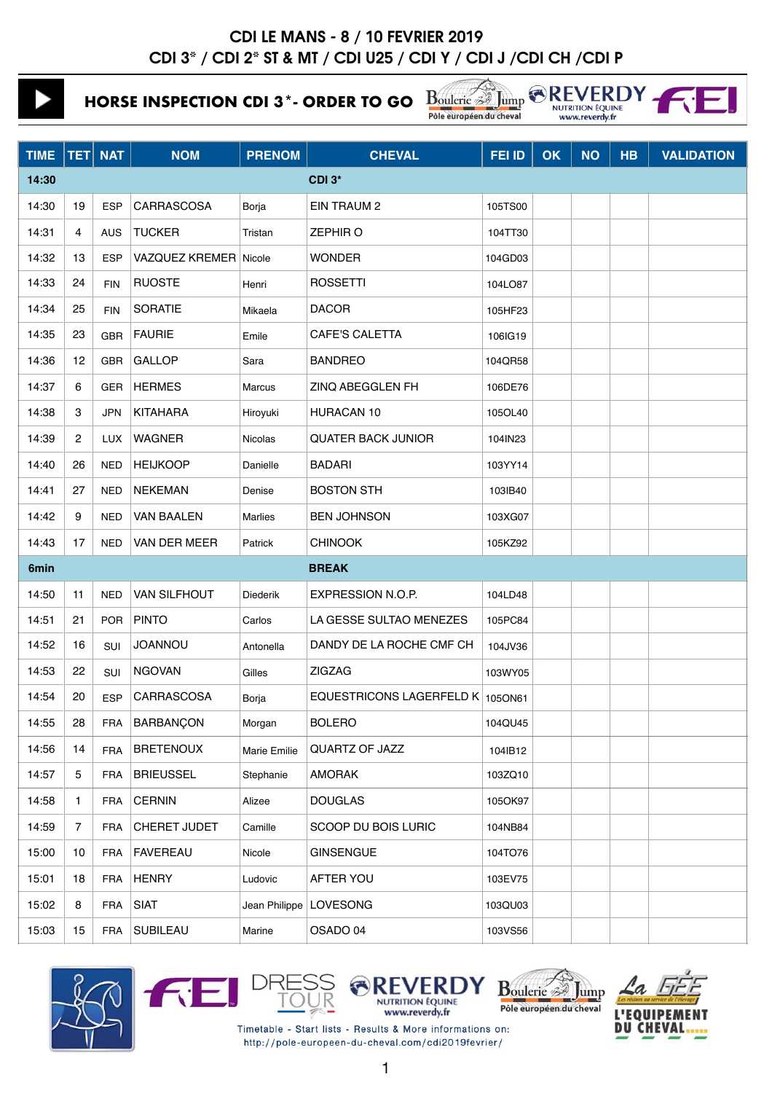**HORSE INSPECTION CDI 3\*- ORDER TO GO**

Boulerie A Jump & REV

| /FRD             |  |
|------------------|--|
| <b>ON ÉQUINE</b> |  |
| everdy.fr        |  |

| <b>TIME</b> |                  | <b>TET</b> NAT | <b>NOM</b>            | <b>PRENOM</b>   | <b>CHEVAL</b>                    | FEI ID  | OK | <b>NO</b> | <b>HB</b> | <b>VALIDATION</b> |
|-------------|------------------|----------------|-----------------------|-----------------|----------------------------------|---------|----|-----------|-----------|-------------------|
| 14:30       |                  |                |                       |                 | CDI 3*                           |         |    |           |           |                   |
| 14:30       | 19               | <b>ESP</b>     | CARRASCOSA            | Borja           | <b>EIN TRAUM 2</b>               | 105TS00 |    |           |           |                   |
| 14:31       | 4                | <b>AUS</b>     | <b>TUCKER</b>         | Tristan         | <b>ZEPHIRO</b>                   | 104TT30 |    |           |           |                   |
| 14:32       | 13               | <b>ESP</b>     | VAZQUEZ KREMER Nicole |                 | <b>WONDER</b>                    | 104GD03 |    |           |           |                   |
| 14:33       | 24               | <b>FIN</b>     | <b>RUOSTE</b>         | Henri           | <b>ROSSETTI</b>                  | 104LO87 |    |           |           |                   |
| 14:34       | 25               | <b>FIN</b>     | <b>SORATIE</b>        | Mikaela         | <b>DACOR</b>                     | 105HF23 |    |           |           |                   |
| 14:35       | 23               | <b>GBR</b>     | <b>FAURIE</b>         | Emile           | <b>CAFE'S CALETTA</b>            | 106IG19 |    |           |           |                   |
| 14:36       | 12               | <b>GBR</b>     | <b>GALLOP</b>         | Sara            | <b>BANDREO</b>                   | 104QR58 |    |           |           |                   |
| 14:37       | 6                | GER            | <b>HERMES</b>         | Marcus          | ZINQ ABEGGLEN FH                 | 106DE76 |    |           |           |                   |
| 14:38       | 3                | <b>JPN</b>     | <b>KITAHARA</b>       | Hiroyuki        | <b>HURACAN 10</b>                | 105OL40 |    |           |           |                   |
| 14:39       | 2                | <b>LUX</b>     | <b>WAGNER</b>         | Nicolas         | <b>QUATER BACK JUNIOR</b>        | 104IN23 |    |           |           |                   |
| 14:40       | 26               | <b>NED</b>     | <b>HEIJKOOP</b>       | Danielle        | <b>BADARI</b>                    | 103YY14 |    |           |           |                   |
| 14:41       | 27               | <b>NED</b>     | <b>NEKEMAN</b>        | Denise          | <b>BOSTON STH</b>                | 103IB40 |    |           |           |                   |
| 14:42       | 9                | NED            | <b>VAN BAALEN</b>     | <b>Marlies</b>  | <b>BEN JOHNSON</b>               | 103XG07 |    |           |           |                   |
| 14:43       | 17               | <b>NED</b>     | VAN DER MEER          | Patrick         | <b>CHINOOK</b>                   | 105KZ92 |    |           |           |                   |
| 6min        |                  |                |                       |                 | <b>BREAK</b>                     |         |    |           |           |                   |
| 14:50       | 11               | <b>NED</b>     | VAN SILFHOUT          | <b>Diederik</b> | EXPRESSION N.O.P.                | 104LD48 |    |           |           |                   |
| 14:51       | 21               | <b>POR</b>     | <b>PINTO</b>          | Carlos          | LA GESSE SULTAO MENEZES          | 105PC84 |    |           |           |                   |
| 14:52       | 16               | SUI            | <b>JOANNOU</b>        | Antonella       | DANDY DE LA ROCHE CMF CH         | 104JV36 |    |           |           |                   |
| 14:53       | 22               | <b>SUI</b>     | <b>NGOVAN</b>         | Gilles          | <b>ZIGZAG</b>                    | 103WY05 |    |           |           |                   |
| 14:54       | 20               | <b>ESP</b>     | CARRASCOSA            | Borja           | EQUESTRICONS LAGERFELD K 1050N61 |         |    |           |           |                   |
| 14:55       | 28               | <b>FRA</b>     | <b>BARBANÇON</b>      | Morgan          | <b>BOLERO</b>                    | 104QU45 |    |           |           |                   |
| 14:56       | 14               | <b>FRA</b>     | <b>BRETENOUX</b>      | Marie Emilie    | QUARTZ OF JAZZ                   | 104IB12 |    |           |           |                   |
| 14:57       | 5                | <b>FRA</b>     | <b>BRIEUSSEL</b>      | Stephanie       | <b>AMORAK</b>                    | 103ZQ10 |    |           |           |                   |
| 14:58       | $\mathbf{1}$     | <b>FRA</b>     | <b>CERNIN</b>         | Alizee          | <b>DOUGLAS</b>                   | 105OK97 |    |           |           |                   |
| 14:59       | $\overline{7}$   | <b>FRA</b>     | CHERET JUDET          | Camille         | SCOOP DU BOIS LURIC              | 104NB84 |    |           |           |                   |
| 15:00       | 10 <sup>10</sup> | <b>FRA</b>     | <b>FAVEREAU</b>       | Nicole          | <b>GINSENGUE</b>                 | 104TO76 |    |           |           |                   |
| 15:01       | 18               | <b>FRA</b>     | <b>HENRY</b>          | Ludovic         | AFTER YOU                        | 103EV75 |    |           |           |                   |
| 15:02       | 8                | <b>FRA</b>     | <b>SIAT</b>           | Jean Philippe   | LOVESONG                         | 103QU03 |    |           |           |                   |
| 15:03       | 15               | <b>FRA</b>     | <b>SUBILEAU</b>       | Marine          | OSADO 04                         | 103VS56 |    |           |           |                   |











Timetable - Start lists - Results & More informations on: http://pole-europeen-du-cheval.com/cdi2019fevrier/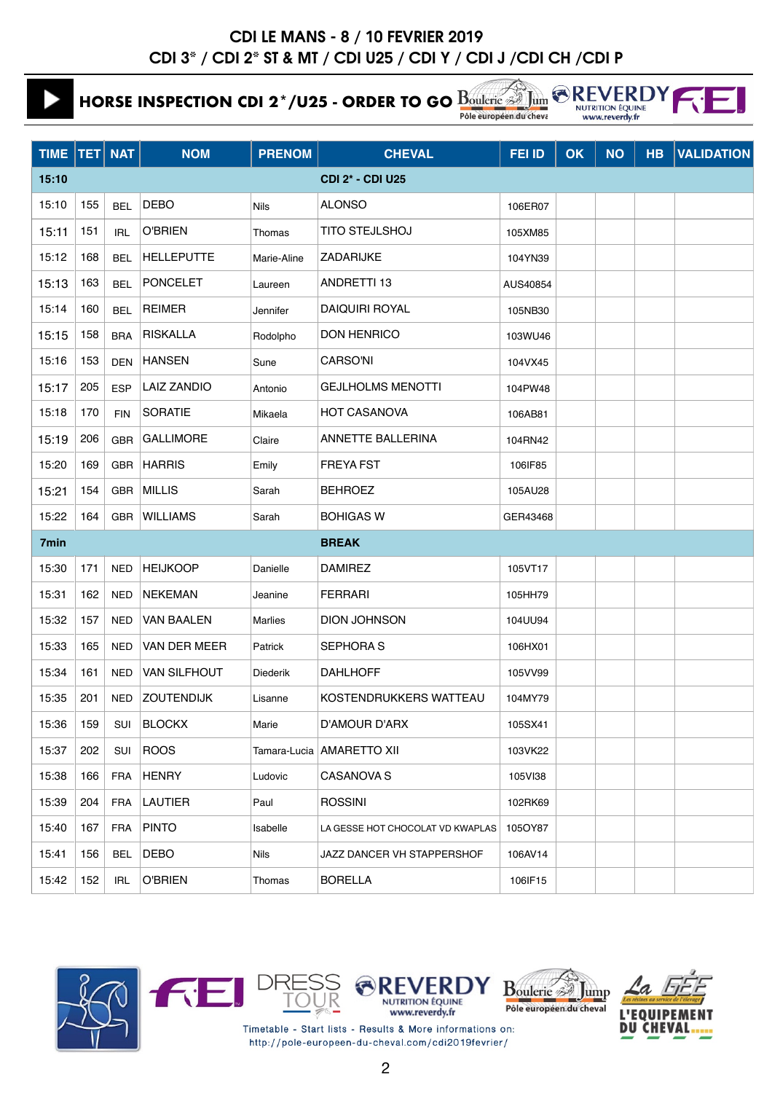# **HORSE INSPECTION CDI 2\*/U25 - ORDER TO GO**

Pôle européen du cheva

Jum

|                         |                | <b>EXEVERDY</b> |  |
|-------------------------|----------------|-----------------|--|
| <b>NUTRITION ÉQUINE</b> |                |                 |  |
|                         | www.reverdy.fr |                 |  |

| TIME   TET   NAT |     |            | <b>NOM</b>          | <b>PRENOM</b>   | <b>CHEVAL</b>                    | FEI ID   | OK | <b>NO</b> | HB | <b>VALIDATION</b> |
|------------------|-----|------------|---------------------|-----------------|----------------------------------|----------|----|-----------|----|-------------------|
| 15:10            |     |            |                     |                 | <b>CDI 2* - CDI U25</b>          |          |    |           |    |                   |
| 15:10            | 155 | <b>BEL</b> | <b>DEBO</b>         | Nils            | <b>ALONSO</b>                    | 106ER07  |    |           |    |                   |
| 15:11            | 151 | IRL        | <b>O'BRIEN</b>      | Thomas          | <b>TITO STEJLSHOJ</b>            | 105XM85  |    |           |    |                   |
| 15:12            | 168 | <b>BEL</b> | <b>HELLEPUTTE</b>   | Marie-Aline     | ZADARIJKE                        | 104YN39  |    |           |    |                   |
| 15:13            | 163 | <b>BEL</b> | <b>PONCELET</b>     | Laureen         | ANDRETTI 13                      | AUS40854 |    |           |    |                   |
| 15:14            | 160 | <b>BEL</b> | <b>REIMER</b>       | Jennifer        | <b>DAIQUIRI ROYAL</b>            | 105NB30  |    |           |    |                   |
| 15:15            | 158 | <b>BRA</b> | <b>RISKALLA</b>     | Rodolpho        | <b>DON HENRICO</b>               | 103WU46  |    |           |    |                   |
| 15:16            | 153 | <b>DEN</b> | <b>HANSEN</b>       | Sune            | <b>CARSO'NI</b>                  | 104VX45  |    |           |    |                   |
| 15:17            | 205 | <b>ESP</b> | <b>LAIZ ZANDIO</b>  | Antonio         | <b>GEJLHOLMS MENOTTI</b>         | 104PW48  |    |           |    |                   |
| 15:18            | 170 | <b>FIN</b> | <b>SORATIE</b>      | Mikaela         | <b>HOT CASANOVA</b>              | 106AB81  |    |           |    |                   |
| 15:19            | 206 | <b>GBR</b> | <b>GALLIMORE</b>    | Claire          | <b>ANNETTE BALLERINA</b>         | 104RN42  |    |           |    |                   |
| 15:20            | 169 | GBR        | <b>HARRIS</b>       | Emily           | <b>FREYA FST</b>                 | 106IF85  |    |           |    |                   |
| 15:21            | 154 | GBR        | <b>MILLIS</b>       | Sarah           | <b>BEHROEZ</b>                   | 105AU28  |    |           |    |                   |
| 15:22            | 164 | <b>GBR</b> | <b>WILLIAMS</b>     | Sarah           | <b>BOHIGAS W</b>                 | GER43468 |    |           |    |                   |
| 7min             |     |            |                     |                 | <b>BREAK</b>                     |          |    |           |    |                   |
| 15:30            | 171 | <b>NED</b> | <b>HEIJKOOP</b>     | Danielle        | <b>DAMIREZ</b>                   | 105VT17  |    |           |    |                   |
| 15:31            | 162 | <b>NED</b> | <b>NEKEMAN</b>      | Jeanine         | <b>FERRARI</b>                   | 105HH79  |    |           |    |                   |
| 15:32            | 157 | <b>NED</b> | <b>VAN BAALEN</b>   | <b>Marlies</b>  | <b>DION JOHNSON</b>              | 104UU94  |    |           |    |                   |
| 15:33            | 165 | <b>NED</b> | VAN DER MEER        | Patrick         | <b>SEPHORAS</b>                  | 106HX01  |    |           |    |                   |
| 15:34            | 161 | <b>NED</b> | <b>VAN SILFHOUT</b> | <b>Diederik</b> | <b>DAHLHOFF</b>                  | 105VV99  |    |           |    |                   |
| 15:35            | 201 | NED        | <b>ZOUTENDIJK</b>   | Lisanne         | KOSTENDRUKKERS WATTEAU           | 104MY79  |    |           |    |                   |
| 15:36            | 159 | SUI        | <b>BLOCKX</b>       | Marie           | D'AMOUR D'ARX                    | 105SX41  |    |           |    |                   |
| 15:37            | 202 | SUI        | ROOS                |                 | Tamara-Lucia   AMARETTO XII      | 103VK22  |    |           |    |                   |
| 15:38            | 166 | FRA        | <b>HENRY</b>        | Ludovic         | <b>CASANOVA S</b>                | 105VI38  |    |           |    |                   |
| 15:39            | 204 | <b>FRA</b> | LAUTIER             | Paul            | <b>ROSSINI</b>                   | 102RK69  |    |           |    |                   |
| 15:40            | 167 | FRA        | <b>PINTO</b>        | Isabelle        | LA GESSE HOT CHOCOLAT VD KWAPLAS | 105OY87  |    |           |    |                   |
| 15:41            | 156 | <b>BEL</b> | DEBO                | Nils            | JAZZ DANCER VH STAPPERSHOF       | 106AV14  |    |           |    |                   |
| 15:42            | 152 | IRL        | <b>O'BRIEN</b>      | Thomas          | <b>BORELLA</b>                   | 106IF15  |    |           |    |                   |













Timetable - Start lists - Results & More informations on: http://pole-europeen-du-cheval.com/cdi2019fevrier/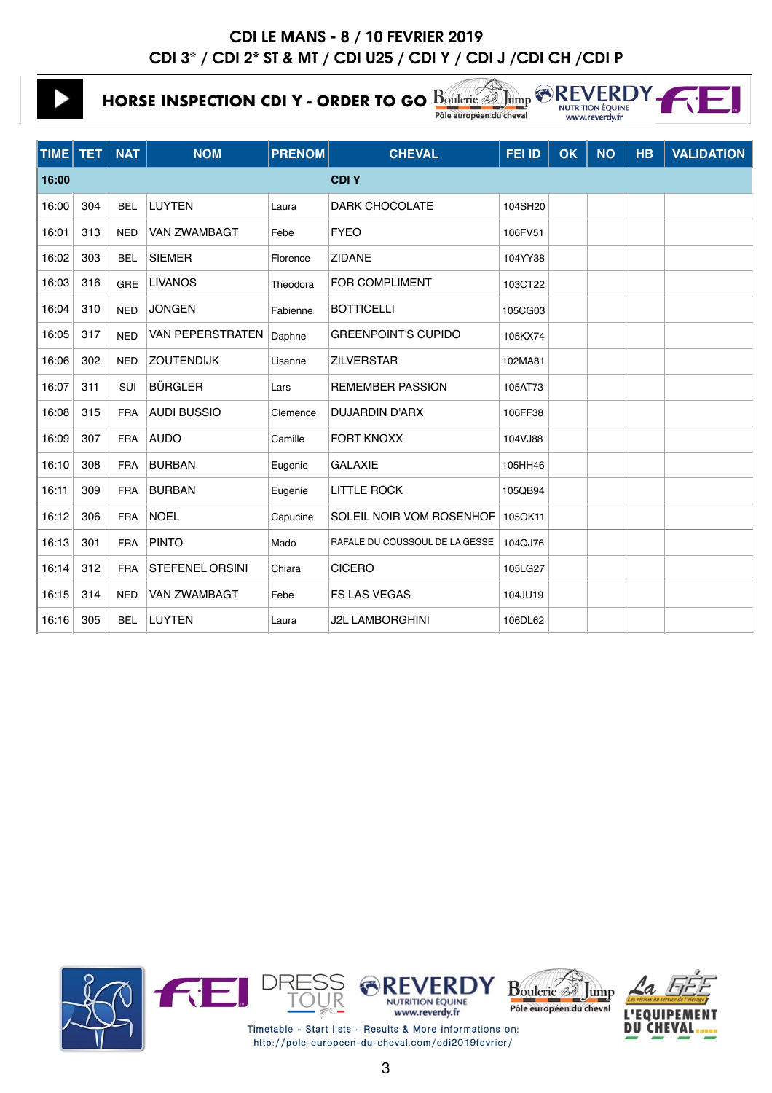**HORSE INSPECTION CDI Y - ORDER TO GO** Boulerie **Section**  $\bigotimes_{\text{Nump}} \bigotimes_{\text{Nump}} R$ 

Pôle européen du cheval www.reverdy.fr **TIME TET NAT NOM PRENOM CHEVAL FEI ID OK NO HB VALIDATION**

| 16:00 |     |            |                        |          | <b>CDIY</b>                    |         |
|-------|-----|------------|------------------------|----------|--------------------------------|---------|
| 16:00 | 304 | <b>BEL</b> | <b>LUYTEN</b>          | Laura    | <b>DARK CHOCOLATE</b>          | 104SH20 |
| 16:01 | 313 | <b>NED</b> | VAN ZWAMBAGT           | Febe     | <b>FYEO</b>                    | 106FV51 |
| 16:02 | 303 | <b>BEL</b> | <b>SIEMER</b>          | Florence | <b>ZIDANE</b>                  | 104YY38 |
| 16:03 | 316 | <b>GRE</b> | <b>LIVANOS</b>         | Theodora | <b>FOR COMPLIMENT</b>          | 103CT22 |
| 16:04 | 310 | <b>NED</b> | <b>JONGEN</b>          | Fabienne | <b>BOTTICELLI</b>              | 105CG03 |
| 16:05 | 317 | <b>NED</b> | VAN PEPERSTRATEN       | Daphne   | <b>GREENPOINT'S CUPIDO</b>     | 105KX74 |
| 16:06 | 302 | <b>NED</b> | <b>ZOUTENDIJK</b>      | Lisanne  | <b>ZILVERSTAR</b>              | 102MA81 |
| 16:07 | 311 | SUI        | <b>BÜRGLER</b>         | Lars     | <b>REMEMBER PASSION</b>        | 105AT73 |
| 16:08 | 315 | <b>FRA</b> | <b>AUDI BUSSIO</b>     | Clemence | <b>DUJARDIN D'ARX</b>          | 106FF38 |
| 16:09 | 307 | <b>FRA</b> | <b>AUDO</b>            | Camille  | <b>FORT KNOXX</b>              | 104VJ88 |
| 16:10 | 308 | <b>FRA</b> | <b>BURBAN</b>          | Eugenie  | <b>GALAXIE</b>                 | 105HH46 |
| 16:11 | 309 | <b>FRA</b> | <b>BURBAN</b>          | Eugenie  | <b>LITTLE ROCK</b>             | 105QB94 |
| 16:12 | 306 | <b>FRA</b> | <b>NOEL</b>            | Capucine | SOLEIL NOIR VOM ROSENHOF       | 105OK11 |
| 16:13 | 301 | <b>FRA</b> | <b>PINTO</b>           | Mado     | RAFALE DU COUSSOUL DE LA GESSE | 104QJ76 |
| 16:14 | 312 | <b>FRA</b> | <b>STEFENEL ORSINI</b> | Chiara   | <b>CICERO</b>                  | 105LG27 |
| 16:15 | 314 | <b>NED</b> | VAN ZWAMBAGT           | Febe     | <b>FS LAS VEGAS</b>            | 104JU19 |
| 16:16 | 305 | <b>BEL</b> | <b>LUYTEN</b>          | Laura    | J2L LAMBORGHINI                | 106DL62 |
|       |     |            |                        |          |                                |         |

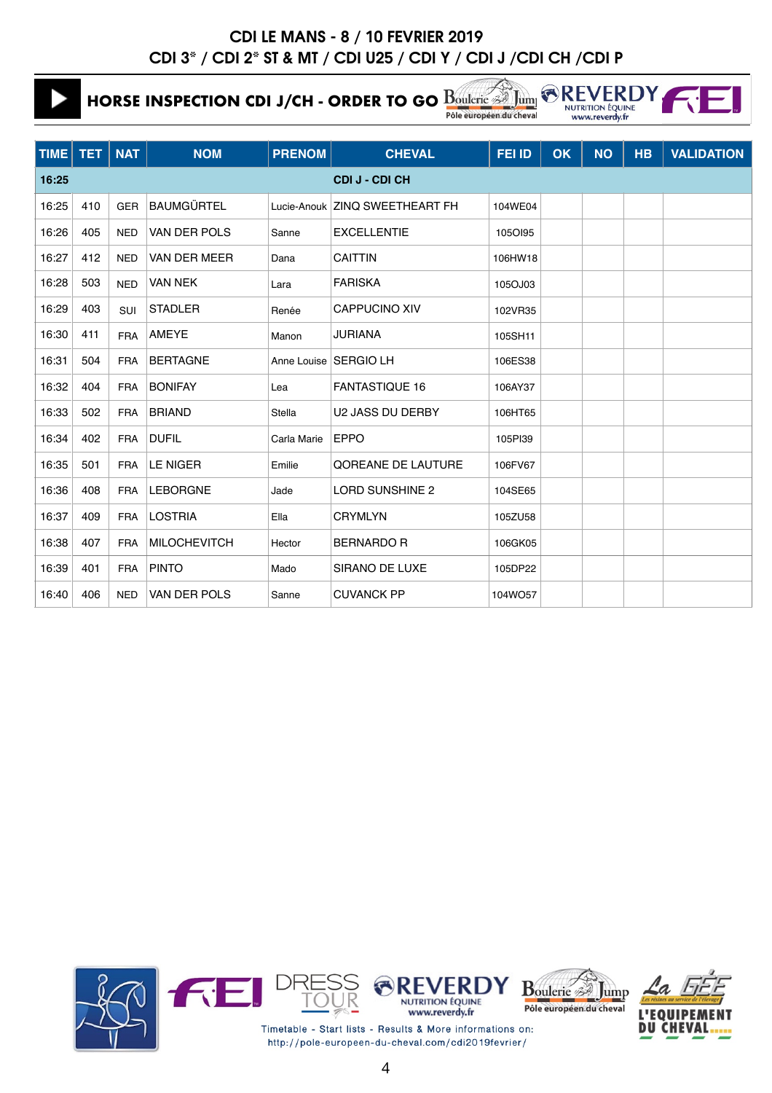**HORSE INSPECTION CDI J/CH - ORDER TO GO Bouldrie** 

16:39 401 FRA PINTO Mado SIRANO DE LUXE 105DP22 16:40 406 NED VAN DER POLS Sanne CUVANCK PP 104WO57

Jum Pôle européen du cheval

**AREVERDY** NUTRITION ÉQUINE www.reverdy.fr

| TIME  | <b>TET</b> | $\overline{\phantom{a}}$ NAT | <b>NOM</b>          | <b>PRENOM</b> | <b>CHEVAL</b>                  | FEI ID  | <b>OK</b> | <b>NO</b> | <b>HB</b> | <b>VALIDATION</b> |
|-------|------------|------------------------------|---------------------|---------------|--------------------------------|---------|-----------|-----------|-----------|-------------------|
| 16:25 |            |                              |                     |               | <b>CDIJ-CDICH</b>              |         |           |           |           |                   |
| 16:25 | 410        | <b>GER</b>                   | <b>BAUMGÜRTEL</b>   |               | Lucie-Anouk ZINQ SWEETHEART FH | 104WE04 |           |           |           |                   |
| 16:26 | 405        | <b>NED</b>                   | <b>VAN DER POLS</b> | Sanne         | <b>EXCELLENTIE</b>             | 1050195 |           |           |           |                   |
| 16:27 | 412        | <b>NED</b>                   | VAN DER MEER        | Dana          | <b>CAITTIN</b>                 | 106HW18 |           |           |           |                   |
| 16:28 | 503        | <b>NED</b>                   | <b>VAN NEK</b>      | Lara          | <b>FARISKA</b>                 | 105OJ03 |           |           |           |                   |
| 16:29 | 403        | SUI                          | <b>STADLER</b>      | Renée         | <b>CAPPUCINO XIV</b>           | 102VR35 |           |           |           |                   |
| 16:30 | 411        | <b>FRA</b>                   | <b>AMEYE</b>        | Manon         | JURIANA                        | 105SH11 |           |           |           |                   |
| 16:31 | 504        | <b>FRA</b>                   | <b>BERTAGNE</b>     |               | Anne Louise   SERGIO LH        | 106ES38 |           |           |           |                   |
| 16:32 | 404        | <b>FRA</b>                   | <b>BONIFAY</b>      | Lea           | <b>FANTASTIQUE 16</b>          | 106AY37 |           |           |           |                   |
| 16:33 | 502        | <b>FRA</b>                   | <b>BRIAND</b>       | <b>Stella</b> | U2 JASS DU DERBY               | 106HT65 |           |           |           |                   |
| 16:34 | 402        | <b>FRA</b>                   | <b>DUFIL</b>        | Carla Marie   | <b>EPPO</b>                    | 105PI39 |           |           |           |                   |
| 16:35 | 501        | <b>FRA</b>                   | <b>LE NIGER</b>     | Emilie        | <b>QOREANE DE LAUTURE</b>      | 106FV67 |           |           |           |                   |
| 16:36 | 408        | <b>FRA</b>                   | <b>LEBORGNE</b>     | Jade          | LORD SUNSHINE 2                | 104SE65 |           |           |           |                   |
| 16:37 | 409        | <b>FRA</b>                   | <b>LOSTRIA</b>      | Ella          | <b>CRYMLYN</b>                 | 105ZU58 |           |           |           |                   |
| 16:38 | 407        | <b>FRA</b>                   | <b>MILOCHEVITCH</b> | Hector        | <b>BERNARDO R</b>              | 106GK05 |           |           |           |                   |